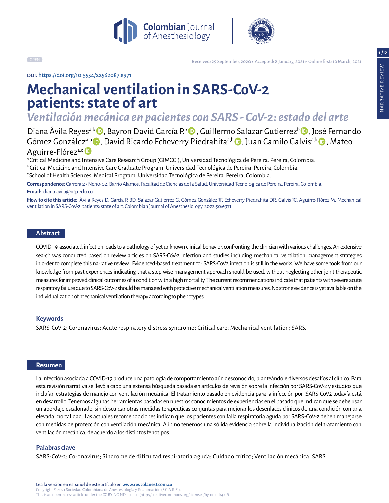**1/12**





Received: 29 September, 2020 ▶ Accepted: 8 January, 2021 ▶ Online first: 10 March, 2021

doi: https://doi.org/10.5554/22562087.e971

# **Mechanical ventilation in SARS-CoV-2 patients: state of art**

*Ventilación mecánica en pacientes con SARS - CoV-2: estado del arte*

Diana Ávila Reyes<sup>a,b</sup> D, Bayron David García P.<sup>b</sup> D, Guillermo Salazar Gutierrez<sup>b</sup> D, José Fernando Góme[z](https://orcid.org/0000-0003-0365-562X) González<sup>a,b</sup> D, David Ricardo Echeverry Piedrahita<sup>a,b</sup> D, Juan Camilo Galvis<sup>a,b</sup> D, Mateo Aguirre-Flórez<sup>a,c</sup> D

a Critical Medicine and Intensive Care Research Group (GIMCCI), Universidad Tecnológica de Pereira. Pereira, Colombia. b Critical Medicine and Intensive Care Graduate Program, Universidad Tecnológica de Pereira. Pereira, Colombia. c School of Health Sciences, Medical Program. Universidad Tecnológica de Pereira. Pereira, Colombia.

**Correspondence:** Carrera 27 No.10-02, Barrio Alamos, Facultad de Ciencias de la Salud, Universidad Tecnologica de Pereira. Pereira, Colombia. **Email:** diana.avila@utp.edu.co

**How to cite this article:** Ávila Reyes D, García P. BD, Salazar Gutierrez G, Gómez González JF, Echeverry Piedrahita DR, Galvis JC, Aguirre-Flórez M. Mechanical ventilation in SARS-CoV-2 patients: state of art. Colombian Journal of Anesthesiology. 2022;50:e971.

# **Abstract**

COVID-19-associated infection leads to a pathology of yet unknown clinical behavior, confronting the clinician with various challenges. An extensive search was conducted based on review articles on SARS-CoV-2 infection and studies including mechanical ventilation management strategies in order to complete this narrative review. Evidenced-based treatment for SARS-CoV2 infection is still in the works. We have some tools from our knowledge from past experiences indicating that a step-wise management approach should be used, without neglecting other joint therapeutic measures for improved clinical outcomes of a condition with a high mortality. The current recommendations indicate that patients with severe acute respiratory failure due to SARS-CoV-2 should be managed with protective mechanical ventilation measures. No strong evidence is yet available on the individualization of mechanical ventilation therapy according to phenotypes.

## **Keywords**

SARS-CoV-2; Coronavirus; Acute respiratory distress syndrome; Critical care; Mechanical ventilation; SARS.

## **Resumen**

La infección asociada a COVID-19 produce una patología de comportamiento aún desconocido, planteándole diversos desafíos al clínico. Para esta revisión narrativa se llevó a cabo una extensa búsqueda basada en artículos de revisión sobre la infección por SARS-CoV-2 y estudios que incluían estrategias de manejo con ventilación mecánica. El tratamiento basado en evidencia para la infección por SARS-CoV2 todavía está en desarrollo. Tenemos algunas herramientas basadas en nuestros conocimientos de experiencias en el pasado que indican que se debe usar un abordaje escalonado, sin descuidar otras medidas terapéuticas conjuntas para mejorar los desenlaces clínicos de una condición con una elevada mortalidad. Las actuales recomendaciones indican que los pacientes con falla respiratoria aguda por SARS-CoV-2 deben manejarse con medidas de protección con ventilación mecánica. Aún no tenemos una sólida evidencia sobre la individualización del tratamiento con ventilación mecánica, de acuerdo a los distintos fenotipos.

## **Palabras clave**

SARS-CoV-2; Coronavirus; Síndrome de dificultad respiratoria aguda; Cuidado crítico; Ventilación mecánica; SARS.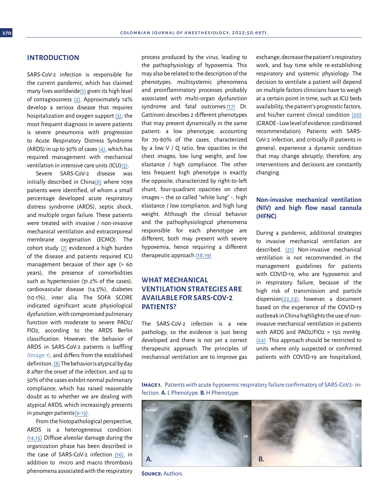## **INTRODUCTION**

SARS-CoV-2 infection is responsible for the current pandemic, which has claimed many lives worldwid[e\(1\)](#page-7-0) given its high level of contagiousness [\(2\).](#page-7-0) Approximately 14% develop a serious disease that requires hospitalization and oxygen support [\(3\);](#page-7-0) the most frequent diagnosis in severe patients is severe pneumonia with progression to Acute Respiratory Distress Syndrome (ARDS) in up to 30% of cases  $(4)$ , which has required management with mechanical ventilation in intensive care units (ICU[\)\(5\)](#page-7-0).

Severe SARS-CoV-2 disease was initially described in Chin[a\(6\)](#page-7-0) where 1099 patients were identified, of whom a small percentage developed acute respiratory distress syndrome (ARDS), septic shock, and multiple organ failure. These patients were treated with invasive / non-invasive mechanical ventilation and extracorporeal membrane oxygenation (ECMO). The cohort study [\(7\)](#page-7-0) evidenced a high burden of the disease and patients required ICU management because of their age (> 60 years), the presence of comorbidities such as hypertension (31.2% of the cases), cardiovascular disease (14.5%), diabetes (10.1%), inter alia. The SOFA SCORE indicated significant acute physiological dysfunction, with compromised pulmonary function with moderate to severe PAO2/ FIO2, according to the ARDS Berlin classification. However, the behavior of ARDS in SARS-CoV-2 patients is baffling (Image 1), and differs from the established definition. [\(8\) T](#page-8-0)he behavior is atypical by day 8 after the onset of the infection, and up to 50% of the cases exhibit normal pulmonary compliance, which has raised reasonable doubt as to whether we are dealing with atypical ARDS, which increasingly presents in younger patient[s\(9-13\).](#page-8-0)

From the histopathological perspective, ARDS is a heterogeneous condition. [\(14,15\)](#page-8-0) Diffuse alveolar damage during the organization phase has been described in the case of SARS-CoV-2 infection [\(16\),](#page-8-0) in addition to micro and macro thrombosis phenomena associated with the respiratory process produced by the virus, leading to the pathophysiology of hypoxemia. This may also be related to the description of the phenotypes, multisystemic phenomena and proinflammatory processes probably associated with multi-organ dysfunction syndrome and fatal outcomes.[\(17\)](#page-8-0) Dr. Gattinoni describes 2 different phenotypes that may present dynamically in the same patient: a low phenotype, accounting for 70-80% of the cases, characterized by a low V / Q ratio, few opacities in the chest images, low lung weight, and low elastance / high compliance. The other less frequent high phenotype is exactly the opposite, characterized by right-to-left shunt, four-quadrant opacities on chest images – the so called "white lung" -, high elastance / low compliance, and high lung weight. Although the clinical behavior and the pathophysiological phenomena responsible for each phenotype are different, both may present with severe hypoxemia, hence requiring a different therapeutic approach[.\(18,19\)](#page-8-0)

# **WHAT MECHANICAL VENTILATION STRATEGIES ARE AVAILABLE FOR SARS-COV-2 PATIENTS?**

The SARS-CoV-2 infection is a new pathology, so the evidence is just being developed and there is not yet a correct therapeutic approach. The principles of mechanical ventilation are to improve gas

exchange, decrease the patient's respiratory work, and buy time while re-establishing respiratory and systemic physiology. The decision to ventilate a patient will depend on multiple factors clinicians have to weigh at a certain point in time, such as ICU beds availability, the patient's prognostic factors, and his/her current clinical condition [\(20\)](#page-8-0) (GRADE - Low level of evidence; conditioned recommendation). Patients with SARS-CoV-2 infection, and critically ill patients in general, experience a dynamic condition that may change abruptly; therefore, any interventions and decisions are constantly changing.

# **Non-invasive mechanical ventilation (NIV) and high flow nasal cannula (HFNC)**

During a pandemic, additional strategies to invasive mechanical ventilation are described. [\(21\)](#page-8-0) Non-invasive mechanical ventilation is not recommended in the management guidelines for patients with COVID-19, who are hypoxemic and in respiratory failure, because of the high risk of transmission and particle dispersion[\(22,23\);](#page-8-0) however, a document based on the experience of the COVID-19 outbreak in China highlights the use of noninvasive mechanical ventilation in patients with ARDS and PAO2/FIO2 > 150 mmHg. [\(24\)](#page-8-0) This approach should be restricted to units where only suspected or confirmed patients with COVID-19 are hospitalized,

**Image 1.** Patients with acute hypoxemic respiratory failure confirmatory of SARS-CoV2- infection. **A.** L Phenotype. **B.** H Phenotype.



**Source:** Authors.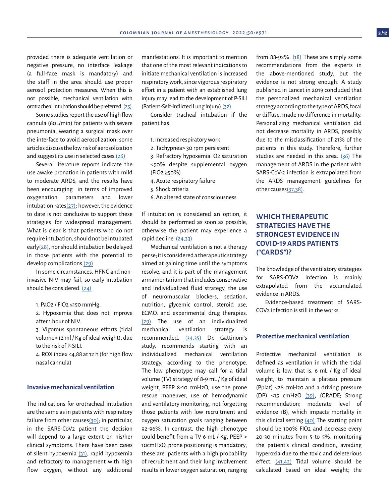provided there is adequate ventilation or negative pressure, no interface leakage (a full-face mask is mandatory) and the staff in the area should use proper aerosol protection measures. When this is not possible, mechanical ventilation with orotracheal intubation should be preferred. [\(25\)](#page-8-0)

Some studies report the use of high flow cannula (60L/min) for patients with severe pneumonia, wearing a surgical mask over the interface to avoid aerosolization; some articles discuss the low risk of aerosolization and suggest its use in selected cases[.\(26\)](#page-8-0)

Several literature reports indicate the use awake pronation in patients with mild to moderate ARDS, and the results have been encouraging in terms of improved oxygenation parameters and lower intubation rates $(27)$ ; however, the evidence to date is not conclusive to support these strategies for widespread management. What is clear is that patients who do not require intubation, should not be intubated early[\(28\),](#page-9-0) nor should intubation be delayed in those patients with the potential to develop complications.[\(29\)](#page-8-0)

In some circumstances, HFNC and noninvasive NIV may fail, so early intubation should be considered: [\(24\)](#page-8-0)

1. PaO2 / FiO2 ≤150 mmHg,

- 2. Hypoxemia that does not improve after 1 hour of NIV.
- 3. Vigorous spontaneous efforts (tidal volume> 12 ml / Kg of ideal weight), due to the risk of P-SILI.
- 4. ROX index <4,88 at 12 h (for high flow nasal cannula)

# **Invasive mechanical ventilation**

The indications for orotracheal intubation are the same as in patients with respiratory failure from other cause[s\(30\)](#page-8-0); in particular, in the SARS-CoV2 patient the decision will depend to a large extent on his/her clinical symptoms. There have been cases of silent hypoxemia [\(31\)](#page-8-0), rapid hypoxemia and refractory to management with high flow oxygen, without any additional manifestations. It is important to mention that one of the most relevant indications to initiate mechanical ventilation is increased respiratory work, since vigorous respiratory effort in a patient with an established lung injury may lead to the development of P-SILI (Patient-Self-Inflicted Lung Injury).[\(32\)](#page-8-0)

Consider tracheal intubation if the patient has:

- 1. Increased respiratory work
- 2. Tachypnea> 30 rpm persistent
- 3. Refractory hypoxemia: O2 saturation <90% despite supplemental oxygen (FiO2 ≥50%)
- 4. Acute respiratory failure
- 5. Shock criteria
- 6. An altered state of consciousness

If intubation is considered an option, it should be performed as soon as possible, otherwise the patient may experience a rapid decline. [\(24,33\)](#page-8-0)

Mechanical ventilation is not a therapy per se; it is considered a therapeutic strategy aimed at gaining time until the symptoms resolve, and it is part of the management armamentarium that includes conservative and individualized fluid strategy, the use of neuromuscular blockers, sedation, nutrition, glycemic control, steroid use, ECMO, and experimental drug therapies. [\(29\)](#page-8-0) The use of an individualized mechanical ventilation strategy is recommended. [\(34,35\)](#page-8-0) Dr. Gattinoni's study, recommends starting with an individualized mechanical ventilation strategy, according to the phenotype. The low phenotype may call for a tidal volume (TV) strategy of 8-9 mL / Kg of ideal weight, PEEP 8-10 cmH2O, use the prone rescue maneuver, use of hemodynamic and ventilatory monitoring, not forgetting those patients with low recruitment and oxygen saturation goals ranging between 92-96%. In contrast, the high phenotype could benefit from a TV 6 mL / Kg, PEEP > 10cmH2O, prone positioning is mandatory; these are patients with a high probability of recruitment and their lung involvement results in lower oxygen saturation, ranging

from 88-92%. [\(18\)](#page-9-0) These are simply some recommendations from the experts in the above-mentioned study, but the evidence is not strong enough. A study published in Lancet in 2019 concluded that the personalized mechanical ventilation strategy according to the type of ARDS, focal or diffuse, made no difference in mortality. Personalizing mechanical ventilation did not decrease mortality in ARDS, possibly due to the misclassification of 21% of the patients in this study. Therefore, further studies are needed in this area. [\(36\)](#page-9-0) The management of ARDS in the patient with SARS-CoV-2 infection is extrapolated from the ARDS management guidelines for other causes[\(37,38\).](#page-8-0)

# **WHICH THERAPEUTIC STRATEGIES HAVE THE STRONGEST EVIDENCE IN COVID-19 ARDS PATIENTS ("CARDS")?**

The knowledge of the ventilatory strategies for SARS-COV2 infection is mainly extrapolated from the accumulated evidence in ARDS.

Evidence-based treatment of SARS-COV2 infection is still in the works.

## **Protective mechanical ventilation**

Protective mechanical ventilation is defined as ventilation in which the tidal volume is low, that is, 6 mL / Kg of ideal weight, to maintain a plateau pressure (Pplat) <28 cmH20 and a driving pressure (DP) <15 cmH2O [\(39\)](#page-9-0), (GRADE; Strong recommendation; moderate level of evidence 1B), which impacts mortality in this clinical setting.[\(40\)](#page-9-0) The starting point should be 100% FIO2 and decrease every 20-30 minutes from 5 to 5%, monitoring the patient's clinical condition, avoiding hyperoxia due to the toxic and deleterious effect. [\(41,42\)](#page-9-0) Tidal volume should be calculated based on ideal weight; the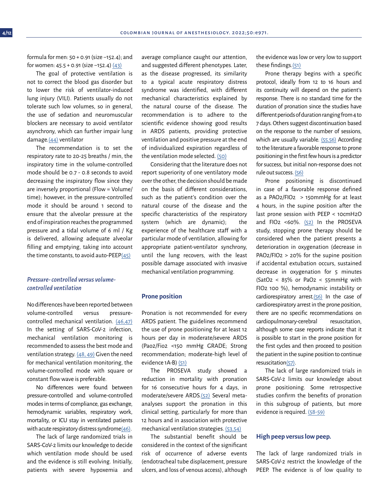formula for men: 50 + 0.91 (size −152.4); and for women: 45.5 + 0.91 (size −152.4) [\(43\)](#page-9-0)

The goal of protective ventilation is not to correct the blood gas disorder but to lower the risk of ventilator-induced lung injury (VILI). Patients usually do not tolerate such low volumes, so in general, the use of sedation and neuromuscular blockers are necessary to avoid ventilator asynchrony, which can further impair lung damage[.\(44\)](#page-9-0) ventilator

The recommendation is to set the respiratory rate to 20-25 breaths / min, the inspiratory time in the volume-controlled mode should be 0.7 - 0.8 seconds to avoid decreasing the inspiratory flow since they are inversely proportional (Flow = Volume/ time); however, in the pressure-controlled mode it should be around 1 second to ensure that the alveolar pressure at the end of inspiration reaches the programmed pressure and a tidal volume of 6 ml / Kg is delivered, allowing adequate alveolar filling and emptying, taking into account the time constants, to avoid auto-PEEP $(45)$ 

# *Pressure- controlled versus volumecontrolled ventilation*

No differences have been reported between volume-controlled versus pressurecontrolled mechanical ventilation. [\(46,47\)](#page-9-0)  In the setting of SARS-CoV-2 infection, mechanical ventilation monitoring is recommended to assess the best mode and ventilation strategy. [\(48, 49\)](#page-9-0) Given the need for mechanical ventilation monitoring, the volume-controlled mode with square or constant flow wave is preferable.

No differences were found between pressure-controlled and volume-controlled modes in terms of compliance, gas exchange, hemodynamic variables, respiratory work, mortality, or ICU stay in ventilated patients with acute respiratory distress syndrom[e\(46\)](#page-9-0).

The lack of large randomized trials in SARS-CoV-2 limits our knowledge to decide which ventilation mode should be used and the evidence is still evolving. Initially, patients with severe hypoxemia and average compliance caught our attention, and suggested different phenotypes. Later, as the disease progressed, its similarity to a typical acute respiratory distress syndrome was identified, with different mechanical characteristics explained by the natural course of the disease. The recommendation is to adhere to the scientific evidence showing good results in ARDS patients, providing protective ventilation and positive pressure at the end of individualized expiration regardless of the ventilation mode selected. [\(50\)](#page-10-0)

Considering that the literature does not report superiority of one ventilatory mode over the other, the decision should be made on the basis of different considerations, such as the patient's condition over the natural course of the disease and the specific characteristics of the respiratory system (which are dynamic); the experience of the healthcare staff with a particular mode of ventilation, allowing for appropriate patient-ventilator synchrony, until the lung recovers, with the least possible damage associated with invasive mechanical ventilation programming.

## **Prone position**

Pronation is not recommended for every ARDS patient. The guidelines recommend the use of prone positioning for at least 12 hours per day in moderate/severe ARDS (Pao2/Fio2 <150 mmHg GRADE; Strong recommendation; moderate-high level of evidence 1A-B) [\(51\)](#page-10-0)

The PROSEVA study showed a reduction in mortality with pronation for 16 consecutive hours for 4 days, in moderate/severe ARDS[.\(52\)](#page-11-0) Several metaanalyses support the pronation in this clinical setting, particularly for more than 12 hours and in association with protective mechanical ventilation strategies. [\(53,54\)](#page-9-0)

The substantial benefit should be considered in the context of the significant risk of occurrence of adverse events (endotracheal tube displacement, pressure ulcers, and loss of venous access), although

the evidence was low or very low to support these findings.[\(51\)](#page-9-0)

Prone therapy begins with a specific protocol, ideally from 12 to 16 hours and its continuity will depend on the patient's response. There is no standard time for the duration of pronation since the studies have different periods of duration ranging from 4 to 7 days. Others suggest discontinuation based on the response to the number of sessions, which are usually variable. [\(55,56\)](#page-9-0) According to the literature a favorable response to prone positioning in the first few hours is a predictor for success, but initial non-response does not rule out success. [\(56\)](#page-9-0)

Prone positioning is discontinued in case of a favorable response defined as a PAO2/FIO2  $>$  150mmHg for at least 4 hours, in the supine position after the last prone session with PEEP < 10cmH2O and FIO2 <60%. [\(52\)](#page-9-0) In the PROSEVA study, stopping prone therapy should be considered when the patient presents a deterioration in oxygenation (decrease in PAO2/FIO2 > 20% for the supine position if accidental extubation occurs, sustained decrease in oxygenation for 5 minutes  $(SatO2 < 85\% \text{ or } PaO2 < 55 \text{ mmHg with}$ FIO2 100 %), hemodynamic instability or cardiorespiratory arrest.[\(56\)](#page-10-0) In the case of cardiorespiratory arrest in the prone position, there are no specific recommendations on cardiopulmonary-cerebral resuscitation, although some case reports indicate that it is possible to start in the prone position for the first cycles and then proceed to position the patient in the supine position to continue resuscitation[\(57\)](#page-10-0).

The lack of large randomized trials in SARS-CoV-2 limits our knowledge about prone positioning. Some retrospective studies confirm the benefits of pronation in this subgroup of patients, but more evidence is required. [\(58-59\)](#page-9-0)

# **High peep versus low peep.**

The lack of large randomized trials in SARS-CoV-2 restrict the knowledge of the PEEP. The evidence is of low quality to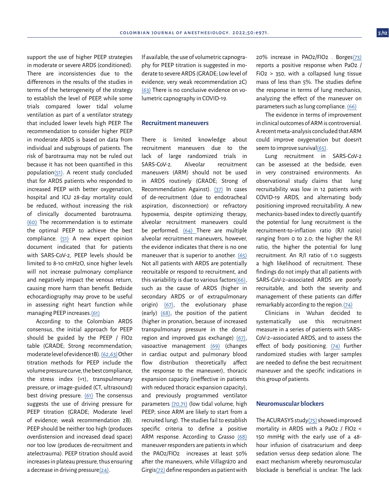support the use of higher PEEP strategies in moderate or severe ARDS (conditioned). There are inconsistencies due to the differences in the results of the studies in terms of the heterogeneity of the strategy to establish the level of PEEP, while some trials compared lower tidal volume ventilation as part of a ventilator strategy that included lower levels high PEEP. The recommendation to consider higher PEEP in moderate ARDS is based on data from individual and subgroups of patients. The risk of barotrauma may not be ruled out because it has not been quantified in this populatio[n\(51\).](#page-9-0) A recent study concluded that for ARDS patients who responded to increased PEEP with better oxygenation, hospital and ICU 28-day mortality could be reduced, without increasing the risk of clinically documented barotrauma. [\(60\)](#page-10-0) The recommendation is to estimate the optimal PEEP to achieve the best compliance. [\(51\)](#page-10-0) A new expert opinion document indicated that for patients with SARS-CoV-2, PEEP levels should be limited to 8-10 cmH2O, since higher levels will not increase pulmonary compliance and negatively impact the venous return, causing more harm than benefit. Bedside echocardiography may prove to be useful in assessing right heart function while managing PEEP increases[.\(61\)](#page-10-0)

According to the Colombian ARDS consensus, the initial approach for PEEP should be guided by the PEEP / FIO2 table (GRADE; Strong recommendation; moderate level of evidence 1B). [\(62,63\)](#page-10-0) Other titration methods for PEEP include the volume pressure curve, the best compliance, the stress index (=1), transpulmonary pressure, or image-guided (CT, ultrasound) best driving pressure. [\(61\)](#page-10-0) The consensus suggests the use of driving pressure for PEEP titration (GRADE; Moderate level of evidence; weak recommendation 2B). PEEP should be neither too high (produces overdistension and increased dead space) nor too low (produces de-recruitment and atelectrauma). PEEP titration should avoid increases in plateau pressure, thus ensuring a decrease in driving pressur[e\(24\)](#page-9-0).

If available, the use of volumetric capnography for PEEP titration is suggested in moderate to severe ARDS (GRADE; Low level of evidence; very weak recommendation 2C) [\(63\)](#page-9-0) There is no conclusive evidence on volumetric capnography in COVID-19.

# **Recruitment maneuvers**

There is limited knowledge about recruitment maneuvers due to the lack of large randomized trials in SARS-CoV-2. Alveolar recruitment maneuvers (ARM) should not be used in ARDS routinely (GRADE; Strong of Recommendation Against). [\(37\)](#page-9-0) In cases of de-recruitment (due to endotracheal aspiration, disconnection) or refractory hypoxemia, despite optimizing therapy, alveolar recruitment maneuvers could be performed. [\(64\)](#page-10-0) There are multiple alveolar recruitment maneuvers, however, the evidence indicates that there is no one maneuver that is superior to another. [\(65\)](#page-10-0) Not all patients with ARDS are potentially recruitable or respond to recruitment, and this variability is due to various factor[s\(66\),](#page-11-0) such as the cause of ARDS (higher in secondary ARDS or of extrapulmonary origin) [\(67\)](#page-10-0), the evolutionary phase (early) [\(68\)](#page-10-0), the position of the patient (higher in pronation, because of increased transpulmonary pressure in the dorsal region and improved gas exchange) [\(67\),](#page-10-0) vasoactive management [\(69\)](#page-10-0) (changes in cardiac output and pulmonary blood flow distribution theoretically affect the response to the maneuver), thoracic expansion capacity (ineffective in patients with reduced thoracic expansion capacity), and previously programmed ventilator parameters [\(70,71\)](#page-10-0) (low tidal volume, high PEEP; since ARM are likely to start from a recruited lung). The studies fail to establish specific criteria to define a positive ARM response. According to Grasso [\(68\)](#page-10-0) maneuver responders are patients in which the PAO2/FIO2 increases at least 50% after the maneuvers, while Villagrá70 and Girgis[\(72\)](#page-10-0) define responders as patient with

20% increase in PAO2/FIO2 . Borge[s\(73\)](#page-10-0) reports a positive response when PaO2 / FiO2 > 350, with a collapsed lung tissue mass of less than 5%. The studies define the response in terms of lung mechanics, analyzing the effect of the maneuver on parameters such as lung compliance. [\(66\)](#page-10-0)

The evidence in terms of improvement in clinical outcomes of ARM is controversial. A recent meta-analysis concluded that ARM could improve oxygenation but doesn't seem to improve survival $(65)$ .

Lung recruitment in SARS-CoV-2 can be assessed at the bedside, even in very constrained environments. An observational study claims that lung recruitability was low in 12 patients with COVID-19 ARDS, and alternating body positioning improved recruitability. A new mechanics-based index to directly quantify the potential for lung recruitment is the recruitment-to-inflation ratio (R/I ratio) ranging from 0 to 2.0; the higher the R/I ratio, the higher the potential for lung recruitment. An R/I ratio of 1.0 suggests a high likelihood of recruitment. These findings do not imply that all patients with SARS-CoV-2–associated ARDS are poorly recruitable, and both the severity and management of these patients can differ remarkably according to the region.[\(74\)](#page-10-0)

Clinicians in Wuhan decided to systematically use this recruitment measure in a series of patients with SARS-CoV-2–associated ARDS, and to assess the effect of body positioning. [\(74\)](#page-10-0) Further randomized studies with larger samples are needed to define the best recruitment maneuver and the specific indications in this group of patients.

#### **Neuromuscular blockers**

The ACURASYS stud[y\(75\)](#page-11-0) showed improved mortality in ARDS with a PaO2 / FIO2 < 150 mmHg with the early use of a 48 hour infusion of cisatracurium and deep sedation versus deep sedation alone. The exact mechanism whereby neuromuscular blockade is beneficial is unclear. The lack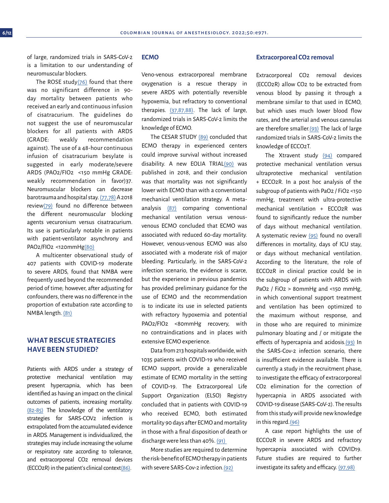of large, randomized trials in SARS-CoV-2 is a limitation to our understanding of neuromuscular blockers.

The ROSE study $(76)$  found that there was no significant difference in 90 day mortality between patients who received an early and continuous infusion of cisatracurium. The guidelines do not suggest the use of neuromuscular blockers for all patients with ARDS (GRADE: weakly recommendation against). The use of a 48-hour continuous infusion of cisatracurium besylate is suggested in early moderate/severe ARDS (PAO2/FIO2 <150 mmHg GRADE: weakly recommendation in favor)37. Neuromuscular blockers can decrease barotrauma and hospital stay. [\(77,78\)](#page-10-0) A 2018 revie[w\(79\)](#page-10-0) found no difference between the different neuromuscular blocking agents vecuronium versus cisatracurium. Its use is particularly notable in patients with patient-ventilator asynchrony and PAO2/FIO2 <120mmHg[\(80\)](#page-10-0)

A multicenter observational study of 407 patients with COVID-19 moderate to severe ARDS, found that NMBA were frequently used beyond the recommended period of time; however, after adjusting for confounders, there was no difference in the proportion of extubation rate according to NMBA length. [\(81\)](#page-10-0)

# **WHAT RESCUE STRATEGIES HAVE BEEN STUDIED?**

Patients with ARDS under a strategy of protective mechanical ventilation may present hypercapnia, which has been identified as having an impact on the clinical outcomes of patients, increasing mortality. [\(82-85\)](#page-10-0) The knowledge of the ventilatory strategies for SARS-COV2 infection is extrapolated from the accumulated evidence in ARDS. Management is individualized, the strategies may include increasing the volume or respiratory rate according to tolerance, and extracorporeal CO2 removal devices (ECCO2R) in the patient's clinical contex[t\(86\).](#page-10-0)

# **ECMO**

Veno-venous extracorporeal membrane oxygenation is a rescue therapy in severe ARDS with potentially reversible hypoxemia, but refractory to conventional therapies. [\(37,87,88\)](#page-8-0). The lack of large, randomized trials in SARS-CoV-2 limits the knowledge of ECMO.

The CESAR STUDY [\(89\)](#page-10-0) concluded that ECMO therapy in experienced centers could improve survival without increased disability. A new EOLIA TRIA[L\(90\)](#page-11-0) was published in 2018, and their conclusion was that mortality was not significantly lower with ECMO than with a conventional mechanical ventilation strategy. A metaanalysis [\(87\)](#page-11-0) comparing conventional mechanical ventilation versus venousvenous ECMO concluded that ECMO was associated with reduced 60-day mortality. However, venous-venous ECMO was also associated with a moderate risk of major bleeding. Particularly, in the SARS-CoV-2 infection scenario, the evidence is scarce, but the experience in previous pandemics has provided preliminary guidance for the use of ECMO and the recommendation is to indicate its use in selected patients with refractory hypoxemia and potential PAO2/FIO2 <80mmHg recovery, with no contraindications and in places with extensive ECMO experience.

Data from 213 hospitals worldwide, with 1035 patients with COVID-19 who received ECMO support, provide a generalizable estimate of ECMO mortality in the setting of COVID-19. The Extracorporeal Life Support Organization (ELSO) Registry concluded that in patients with COVID-19 who received ECMO, both estimated mortality 90 days after ECMO and mortality in those with a final disposition of death or discharge were less than 40%. [\(91\)](#page-11-0) 

More studies are required to determine the risk-benefit of ECMO therapy in patients with severe SARS-Cov-2 infection.([92](#page-11-0))

# **Extracorporeal CO2 removal**

Extracorporeal CO2 removal devices (ECCO2R) allow CO2 to be extracted from venous blood by passing it through a membrane similar to that used in ECMO, but which uses much lower blood flow rates, and the arterial and venous cannulas are therefore smaller[.\(93\)](#page-11-0) The lack of large randomized trials in SARS-CoV-2 limits the knowledge of ECCO2T.

The Xtravent study [\(94\)](#page-11-0) compared protective mechanical ventilation versus ultraprotective mechanical ventilation + ECCO2R. In a post hoc analysis of the subgroup of patients with PaO2 / FiO2 <150 mmHg, treatment with ultra-protective mechanical ventilation + ECCO2R was found to significantly reduce the number of days without mechanical ventilation. A systematic review [\(95\)](#page-11-0) found no overall differences in mortality, days of ICU stay, or days without mechanical ventilation. According to the literature, the role of ECCO2R in clinical practice could be in the subgroup of patients with ARDS with PaO<sub>2</sub> / FiO<sub>2</sub> > 80mmHg and <150 mmHg, in which conventional support treatment and ventilation has been optimized to the maximum without response, and in those who are required to minimize pulmonary bloating and / or mitigate the effects of hypercapnia and acidosis.[\(93\)](#page-11-0) In the SARS-Cov-2 infection scenario, there is insufficient evidence available. There is currently a study in the recruitment phase, to investigate the efficacy of extracorporeal CO2 elimination for the correction of hypercapnia in ARDS associated with COVID-19 disease (SARS-CoV-2). The results from this study will provide new knowledge in this regard[.\(96\)](#page-11-0)

A case report highlights the use of ECCO2R in severe ARDS and refractory hypercapnia associated with COVID19. Future studies are required to further investigate its safety and efficacy. [\(97,98\)](#page-11-0)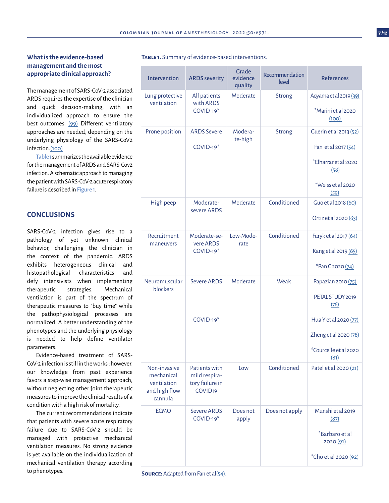# **What is the evidence-based management and the most appropriate clinical approach?**

The management of SARS-CoV-2 associated ARDS requires the expertise of the clinician and quick decision-making, with an individualized approach to ensure the best outcomes. [\(99\)](#page-11-0) Different ventilatory approaches are needed, depending on the underlying physiology of the SARS-CoV2 infection[.\(100\)](#page-11-0)

Table 1 summarizes the available evidence for the management of ARDS and SARS-Cov2 infection. A schematic approach to managing the patient with SARS-CoV-2 acute respiratory failure is described in Figure 1.

# **CONCLUSIONS**

SARS-CoV-2 infection gives rise to a pathology of yet unknown clinical behavior, challenging the clinician in the context of the pandemic. ARDS exhibits heterogeneous clinical and histopathological characteristics and defy intensivists when implementing therapeutic strategies. Mechanical ventilation is part of the spectrum of therapeutic measures to "buy time" while the pathophysiological processes are normalized. A better understanding of the phenotypes and the underlying physiology is needed to help define ventilator parameters.

Evidence-based treatment of SARS-CoV-2 infection is still in the works ; however, our knowledge from past experience favors a step-wise management approach, without neglecting other joint therapeutic measures to improve the clinical results of a condition with a high risk of mortality.

The current recommendations indicate that patients with severe acute respiratory failure due to SARS-CoV-2 should be managed with protective mechanical ventilation measures. No strong evidence is yet available on the individualization of mechanical ventilation therapy according to phenotypes.

| Intervention                                                          | <b>ARDS</b> severity                                                     | Grade<br>evidence<br>quality | Recommendation<br>level | <b>References</b>                                                                                                                         |
|-----------------------------------------------------------------------|--------------------------------------------------------------------------|------------------------------|-------------------------|-------------------------------------------------------------------------------------------------------------------------------------------|
| Lung protective<br>ventilation                                        | All patients<br>with ARDS<br>$COVID-19*$                                 | Moderate                     | <b>Strong</b>           | Aoyama et al 2019 (39)<br><i><b>*Marini et al 2020</b></i><br>(100)                                                                       |
| Prone position                                                        | <b>ARDS Severe</b><br>COVID-19*                                          | Modera-<br>te-high           | <b>Strong</b>           | Guerin et al 2013 (52)<br>Fan et al 2017 (54)<br>*Elharrar et al 2020<br>(58)<br>*Weiss et al 2020<br>(59)                                |
| High peep                                                             | Moderate-<br>severe ARDS                                                 | Moderate                     | Conditioned             | Guo et al 2018 (60)<br>Ortiz et al 2020 (63)                                                                                              |
| Recruitment<br>maneuvers                                              | Moderate-se-<br>vere ARDS<br>COVID-19*                                   | Low-Mode-<br>rate            | Conditioned             | Furyk et al 2017 (64)<br>Kang et al 2019 (65)<br>*Pan C 2020 (74)                                                                         |
| Neuromuscular<br>blockers                                             | <b>Severe ARDS</b><br>COVID-19 <sup>*</sup>                              | Moderate                     | Weak                    | Papazian 2010 (75)<br>PETAL STUDY 2019<br>(76)<br>Hua Y et al 2020 (77)<br>Zheng et al 2020 (78)<br><i>*</i> Courcelle et al 2020<br>(81) |
| Non-invasive<br>mechanical<br>ventilation<br>and high flow<br>cannula | Patients with<br>mild respira-<br>tory failure in<br>COVID <sub>19</sub> | Low                          | Conditioned             | Patel et al 2020 (21)                                                                                                                     |
| <b>ECMO</b>                                                           | <b>Severe ARDS</b><br>$COVID-19*$                                        | Does not<br>apply            | Does not apply          | Munshi et al 2019<br>(87)<br>*Barbaro et al                                                                                               |

#### **Table 1.** Summary of evidence-based interventions.

**SOURCE:** Adapted from Fan et a[l\(54\)](#page-9-0).

2020 [\(91\)](#page-11-0)

\*Cho et al 2020 [\(92\)](#page-11-0)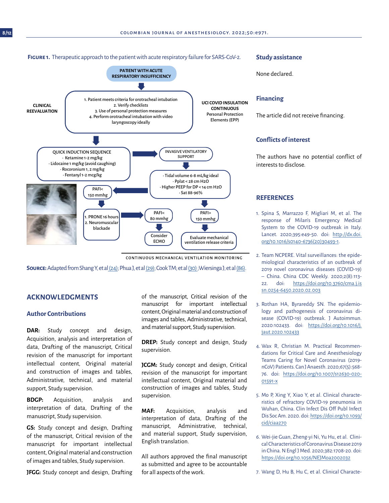#### <span id="page-7-0"></span>**Figure 1.** Therapeutic approach to the patient with acute respiratory failure for SARS-CoV-2.



CONTINUOUS MECHANICAL VENTILATION MONITORING

**Source:** Adapted from Shang Y, et a[l \(24\)](#page-8-0); Phua J, et al [\(29\);](#page-8-0) Cook TM; et al [\(30\)](#page-8-0);Wiersinga J; et al [\(86\).](#page-8-0)

# **ACKNOWLEDGMENTS**

## **Author Contributions**

**DAR:** Study concept and design, Acquisition, analysis and interpretation of data, Drafting of the manuscript, Critical revision of the manuscript for important intellectual content, Original material and construction of images and tables, Administrative, technical, and material support, Study supervision.

**BDGP:** Acquisition, analysis and interpretation of data, Drafting of the manuscript, Study supervision.

**GS:** Study concept and design, Drafting of the manuscript, Critical revision of the manuscript for important intellectual content, Original material and construction of images and tables, Study supervision.

**JFGG:** Study concept and design, Drafting

of the manuscript, Critical revision of the manuscript for important intellectual content, Original material and construction of images and tables, Administrative, technical, and material support, Study supervision.

**DREP:** Study concept and design, Study supervision.

**JCGM:** Study concept and design, Critical revision of the manuscript for important intellectual content, Original material and construction of images and tables, Study supervision.

**MAF:** Acquisition, analysis and interpretation of data, Drafting of the manuscript, Administrative, technical, and material support, Study supervision, English translation.

All authors approved the final manuscript as submitted and agree to be accountable for all aspects of the work.

#### **Study assistance**

None declared.

## **Financing**

The article did not receive financing.

# **Conflicts of interest**

The authors have no potential conflict of interests to disclose.

## **REFERENCES**

- 1. Spina S, Marrazzo F, Migliari M, et al. The response of Milan's Emergency Medical System to the COVID-19 outbreak in Italy. Lancet. 2020;395:e49-50. doi: [http://dx.doi.](http://dx.doi.org/10.1016/s0140-6736(20)30493-1) [org/10.1016/s0140-6736\(20\)30493-1](http://dx.doi.org/10.1016/s0140-6736(20)30493-1).
- 2. Team NCPERE. Vital surveillances: the epidemiological characteristics of an outbreak of 2019 novel coronavirus diseases (COVID-19) – China. China CDC Weekly. 2020;2(8):113- 22. doi: [https://doi.org/10.3760/cma.j.is](https://doi.org/10.3760/cma.j.issn.0254-6450.2020.02.003) [sn.0254-6450.2020.02.003](https://doi.org/10.3760/cma.j.issn.0254-6450.2020.02.003)
- 3. Rothan HA, Byrareddy SN. The epidemiology and pathogenesis of coronavirus disease (COVID-19) outbreak. J Autoimmun. 2020:102433. doi: [https://doi.org/10.1016/j.](https://doi.org/10.1016/j.jaut.2020.102433 ) [jaut.2020.102433](https://doi.org/10.1016/j.jaut.2020.102433 )
- 4. Wax R, Christian M. Practical Recommendations for Critical Care and Anesthesiology Teams Caring for Novel Coronavirus (2019 nCoV) Patients. Can J Anaesth. 2020;67(5):568- 76. doi: [https://doi.org/10.1007/s12630-020-](https://doi.org/10.1007/s12630-020-01591-x ) [01591-x](https://doi.org/10.1007/s12630-020-01591-x )
- 5. Mo P, Xing Y, Xiao Y, et al. Clinical characteristics of refractory COVID-19 pneumonia in Wuhan, China. Clin Infect Dis Off Publ Infect Dis Soc Am. 2020. doi: [https://doi.org/10.1093/](https://doi.org/10.1093/cid/ciaa270) [cid/ciaa270](https://doi.org/10.1093/cid/ciaa270)
- 6. Wei-jie Guan, Zheng-yi Ni, Yu Hu, et al. Clinical Characteristics of Coronavirus Disease 2019 in China. N Engl J Med. 2020;382:1708-20. doi: [https://doi.org/10.1056/NEJMoa2002032](https://doi.org/10.1056/NEJMoa2002032 )

7. Wang D, Hu B, Hu C, et al. Clinical Characte-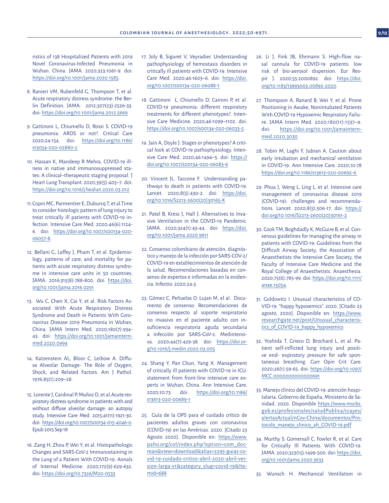<span id="page-8-0"></span>ristics of 138 Hospitalized Patients with 2019 Novel Coronavirus-Infected Pneumonia in Wuhan. China. JAMA. 2020;323:1061-9. doi: <https://doi.org/10.1001/jama.2020.1585>.

- 8. Ranieri VM, Rubenfeld G, Thompson T, et al. Acute respiratory distress syndrome: the Berlin Definition. JAMA. 2012;307(23):2526-33. doi: <https://doi.org/10.1001/jama.2012.5669>
- 9. Gattinoni L, Chiumello D, Rossi S. COVID-19 pneumonia: ARDS or not?. Critical Care 2020;24:154. doi: [https://doi.org/10.1186/](https://doi.org/10.1186/s13054-020-02880-z ) [s13054-020-02880-z](https://doi.org/10.1186/s13054-020-02880-z )
- 10. Hassan K, Mandeep R Mehra. COVID-19 illness in native and immunosuppressed states: A clinical–therapeutic staging proposal. J Heart Lung Transplant. 2020;39(5):405–7. doi: <https://doi.org/10.1016/j.healun.2020.03.012>
- 11.Copin MC, Parmentier E, Duburcq T, et al.Time to consider histologic pattern of lung injury to treat critically ill patients with COVID-19 infection. Intensive Care Med. 2020;46(6):1124- 6. doi: [https://doi.org/10.1007/s00134-020-](https://doi.org/10.1007/s00134-020-06057-8) [06057-8](https://doi.org/10.1007/s00134-020-06057-8).
- 12. Bellani G, Laffey J, Pham T, et al. Epidemiology, patterns of care, and mortality for patients with acute respiratory distress syndrome in intensive care units in 50 countries. JAMA. 2016;315(8):788-800. doi: [https://doi.](https://doi.org/10.1001/jama.2016.0291) [org/10.1001/jama.2016.0291](https://doi.org/10.1001/jama.2016.0291)
- 13. Wu C, Chen X, Cai Y, et al. Risk Factors Associated With Acute Respiratory Distress Syndrome and Death in Patients With Coronavirus Disease 2019 Pneumonia in Wuhan, China. JAMA Intern Med. 2020;180(7):934- 43. doi: [https://doi.org/10.1001/jamaintern](https://doi.org/10.1001/jamainternmed.2020.0994)[med.2020.0994](https://doi.org/10.1001/jamainternmed.2020.0994)
- 14. Katzenstein AL, Bloor C, Leibow A. Diffuse Alveolar Damage- The Role of Oxygen, Shock, and Related Factors. Am J Pathol. 1976;85(1):209–28.
- 15. Lorente J, Cardinal P, Muñoz D, et al.Acute respiratory distress syndrome in patients with and without diffuse alveolar damage: an autopsy study. Intensive Care Med. 2015;41(11):1921-30. doi: [https://doi.org/10.1007/s00134-015-4046-0.](https://doi.org/10.1007/s00134-015-4046-0) Epub 2015 Sep 18
- 16. Zang H, Zhou P, Wei Y, et al. Histopathologic Changes and SARS-CoV-2 Immunostaining in the Lung of a Patient With COVID-19. Annals of Internal Medicine. 2020;172(9):629-632. doi: <https://doi.org/10.7326/M20-0533>
- 17. Joly B, Siguret V, Veyradier. Understanding pathophysiology of hemostasis disorders in critically ill patients with COVID-19. Intensive Care Med. 2020;46:1603–6. doi: [https://doi.](https://doi.org/10.1007/s00134-020-06088-1) [org/10.1007/s00134-020-06088-1](https://doi.org/10.1007/s00134-020-06088-1)
- 18. Gattinoni L, Chiumello D, Caironi P, et al. COVID-19 pneumonia: different respiratory treatments for different phenotypes?. Intensive Care Medicine. 2020;46:1099–1102. doi: <https://doi.org/10.1007/s00134-020-06033-2>.
- 19. Jain A, Doyle J. Stages or phenotypes? A critical look at COVID-19 pathophysiology. Intensive Care Med. 2020;46:1494–5. doi: [https://](https://doi.org/10.1007/s00134-020-06083-6) [doi.org/10.1007/s00134-020-06083-6](https://doi.org/10.1007/s00134-020-06083-6)
- 20. Vincent JL, Taccone F. Understanding pathways to death in patients with COVID-19. Lancet. 2020;8(5):430-2. doi: [https://doi.](https://doi.org/10.1016/S2213-2600(20)30165-X) [org/10.1016/S2213-2600\(20\)30165-X](https://doi.org/10.1016/S2213-2600(20)30165-X)
- 21. Patel B, Kress J, Hall J. Alternatives to Invasive Ventilation in the COVID-19 Pandemic. JAMA. 2020;324(1):43-44. doi: [https://doi.](https://doi.org/10.1001/jama.2020.9611) [org/10.1001/jama.2020.9611](https://doi.org/10.1001/jama.2020.9611)
- 22. Consenso colombiano de atención, diagnóstico y manejo de la infección por SARS-COV-2/ COVID-19 en establecimientos de atención de la salud. Recomendaciones basadas en consenso de expertos e informadas en la evidencia. Infectio. 2020;24:3.
- 23. Gómez C, Peñuelas O. Lujan M, el al. Documento de consenso. Recomendaciones de consenso respecto al soporte respiratorio no invasivo en el paciente adulto con insuficiencia respiratoria aguda secundaria a infección por SARS-CoV-2. Medintensiva. 2020;44(7):429-38. doi: [https://doi.or](https://doi.org/10.1016/j.medin.2020.03.005)[g/10.1016/j.medin.2020.03.005](https://doi.org/10.1016/j.medin.2020.03.005)
- 24. Shang Y, Pan Chun, Yang X. Management of critically ill patients with COVID-19 in ICU: statement from front-line intensive care experts in Wuhan, China. Ann Intensive Care. 2020;10:73. doi: [https://doi.org/10.1186/](https://doi.org/10.1186/s13613-020-00689-1) [s13613-020-00689-1](https://doi.org/10.1186/s13613-020-00689-1)
- 25. Guía de la OPS para el cuidado crítico de pacientes adultos graves con coronavirus (COVID-19) en las Américas. 2020. [Citado 23 Agosto 2020]. Disponible en: [https://www.](https://www.paho.org/col/index.php?option=com_docman&view=download&alias=2295-guias-covid-19-cuidado) [paho.org/col/index.php?option=com\\_doc](https://www.paho.org/col/index.php?option=com_docman&view=download&alias=2295-guias-covid-19-cuidado)[man&view=download&alias=2295-guias-co](https://www.paho.org/col/index.php?option=com_docman&view=download&alias=2295-guias-covid-19-cuidado)[vid-19-cuidado-critico-abril-2020-abril-ver](https://www.paho.org/col/index.php?option=com_docman&view=download&alias=2295-guias-covid-19-cuidado)[sion-larga-v1&category\\_slug=covid-19&Ite](https://www.paho.org/col/index.php?option=com_docman&view=download&alias=2295-guias-covid-19-cuidado)[mid=688](https://www.paho.org/col/index.php?option=com_docman&view=download&alias=2295-guias-covid-19-cuidado)
- 26. Li J, Fink JB, Ehrmann S. High-flow nasal cannula for COVID-19 patients: low risk of bio-aerosol dispersion. Eur Respir J. 2020;55:2000892. doi: [https://doi.](https://doi.org/10.1183/13993003.00892-2020) [org/10.1183/13993003.00892-2020](https://doi.org/10.1183/13993003.00892-2020).
- 27. Thompson A, Ranard B, Wei Y, et al. Prone Positioning in Awake, Nonintubated Patients With COVID-19 Hypoxemic Respiratory Failure. JAMA Intern Med. 2020;180(11):1537–9. doi: [https://doi.org/10.1001/jamaintern](https://doi.org/10.1001/jamainternmed.2020.3030)[med.2020.3030](https://doi.org/10.1001/jamainternmed.2020.3030)
- 28. Tobin M, Laghi F, Jubran A. Caution about early intubation and mechanical ventilation in COVID-19. Ann Intensive Care. 2020;10:78 [https://doi.org/10.1186/s13613-020-00692-6](https://doi.org/10.1186/s13613-020-00692-6 )
- 29. Phua J, Weng L, Ling L, et al. Intensive care management of coronavirus disease 2019 (COVID-19): challenges and recommendations. Lancet. 2020;8(5):506-17. doi: [https://](https://doi.org/10.1016/S2213-2600(20)30161-2) [doi.org/10.1016/S2213-2600\(20\)30161-2](https://doi.org/10.1016/S2213-2600(20)30161-2)
- 30. Cook TM, Boghdadly K, McGuire B, et al. Consensus guidelines for managing the airway in patients with COVID-19: Guidelines from the Difficult Airway Society, the Association of Anaesthetists the Intensive Care Society, the Faculty of Intensive Care Medicine and the Royal College of Anaesthetists. Anaesthesia. 2020;75(6):785-99. doi: [https://doi.org/10.1111/](https://doi.org/10.1111/anae.15054) [anae.15054](https://doi.org/10.1111/anae.15054).
- 31. Goldowitz I. Unusual characteristics of CO-VID-19: "happy hypoxemics". 2020. [Citado 23 agosto, 2020]. Disponible en: [https://www.](https://www.researchgate.net/post/Unusual_characteristics_of_COVID-19_happy_hypoxemics) [researchgate.net/post/Unusual\\_characteris](https://www.researchgate.net/post/Unusual_characteristics_of_COVID-19_happy_hypoxemics)tics of COVID-19 happy hypoxemics
- 32. Yoshida T, Grieco D, Brochard L, et al. Patient self-inflicted lung injury and positive end- expiratory pressure for safe spontaneous breathing. Curr Opin Crit Care. 2020;26(1):59-65. doi: [https://doi.org/10.1097/](https://doi.org/10.1097/MCC.0000000000000691) [MCC.0000000000000691](https://doi.org/10.1097/MCC.0000000000000691)
- 33. Manejo clínico del COVID-19: atención hospitalaria. Gobierno de España, Ministerio de Sanidad. 2020. Disponible [https://www.mscbs.](https://www.mscbs.gob.es/profesionales/saludPublica/ccayes/alertasActual/nCov-China/documentos/Proto) [gob.es/profesionales/saludPublica/ccayes/](https://www.mscbs.gob.es/profesionales/saludPublica/ccayes/alertasActual/nCov-China/documentos/Proto) [alertasActual/nCov-China/documentos/Pro](https://www.mscbs.gob.es/profesionales/saludPublica/ccayes/alertasActual/nCov-China/documentos/Proto)[tocolo\\_manejo\\_clinico\\_ah\\_COVID-19.pdf](https://www.mscbs.gob.es/profesionales/saludPublica/ccayes/alertasActual/nCov-China/documentos/Proto)
- 34. Murthy S. Gomersall C, Fowler R, et al. Care for Critically Ill Patients With COVID-19. JAMA. 2020;323(15):1499-500. doi: [https://doi.](https://doi.org/10.1001/jama.2020.3633) [org/10.1001/jama.2020.3633](https://doi.org/10.1001/jama.2020.3633)

35. Wunsch H. Mechanical Ventilation in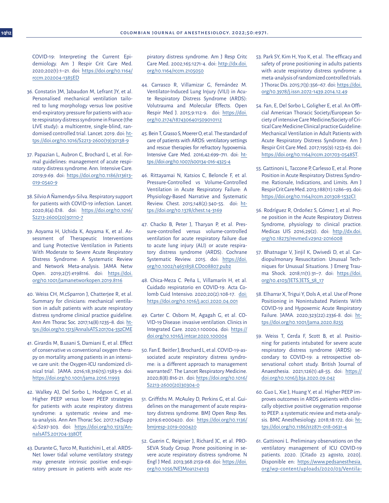<span id="page-9-0"></span>COVID-19: Interpreting the Current Epidemiology. Am J Respir Crit Care Med. 2020;202(1):1–21. doi: [https://doi.org/10.1164/](https://doi.org/10.1164/rccm.202004-1385ED) [rccm.202004-1385ED](https://doi.org/10.1164/rccm.202004-1385ED)

- 36. Constatin JM, Jabaudon M, Lefrant JY, et al. Personalised mechanical ventilation tailored to lung morphology versus low positive end-expiratory pressure for patients with acute respiratory distress syndrome in France (the LIVE study): a multicentre, single-blind, randomised controlled trial. Lancet. 2019. doi: [ht](https://doi.org/10.1016/S2213-2600(19)30138-9)[tps://doi.org/10.1016/S2213-2600\(19\)30138-9](https://doi.org/10.1016/S2213-2600(19)30138-9)
- 37. Papazian L, Aubron C, Brochard L, et al. Formal guidelines: management of acute respiratory distress syndrome. Ann. Intensive Care. 2019;9:69. doi: [https://doi.org/10.1186/s13613-](https://doi.org/10.1186/s13613-019-0540-9) [019-0540-9](https://doi.org/10.1186/s13613-019-0540-9)
- 38. Silvio A Ñamendys-Silva. Respiratory support for patients with COVID-19 infection. Lancet. 2020;8(4):E18. doi: [https://doi.org/10.1016/](https://doi.org/10.1016/S2213-2600(20)30110-7) [S2213-2600\(20\)30110-7](https://doi.org/10.1016/S2213-2600(20)30110-7)
- 39. Aoyama H, Uchida K, Aoyama K, et al. Assessment of Therapeutic Interventions and Lung Protective Ventilation in Patients With Moderate to Severe Acute Respiratory Distress Syndrome: A Systematic Review and Network Meta-analysis. JAMA Netw Open. 2019;2(7):e198116. doi: [https://doi.](https://doi.org/10.1001/jamanetworkopen.2019.8116) [org/10.1001/jamanetworkopen.2019.8116](https://doi.org/10.1001/jamanetworkopen.2019.8116)
- 40. Weiss CH, M.cSparron J, Chatterjee R, et al. Summary for clinicians: mechanical ventilation in adult patients with acute respiratory distress syndrome clinical practice guideline. Ann Am Thorac Soc. 2017;14(8):1235–8. doi: [ht](https://doi.org/10.1513/AnnalsATS.201704-332CME )[tps://doi.org/10.1513/AnnalsATS.201704-332CME](https://doi.org/10.1513/AnnalsATS.201704-332CME )
- 41. Girardis M, B.usani S, Damiani E, et al. Effect of conservative vs conventional oxygen therapy on mortality among patients in an intensive care unit: the Oxygen-ICU randomized clinical trial. JAMA. 2016;18;316(15):1583-9. doi: <https://doi.org/10.1001/jama.2016.11993>
- 42. Walkey AJ, Del Sorbo L, Hodgson C, et al. Higher PEEP versus lower PEEP strategies for patients with acute respiratory distress syndrome: a systematic review and meta-analysis. Ann Am Thorac Soc. 2017;14(Supp 4):S297-303. doi: [https://doi.org/10.1513/An](https://doi.org/10.1513/AnnalsATS.201704-338OT)[nalsATS.201704-338OT](https://doi.org/10.1513/AnnalsATS.201704-338OT)
- 43. Durante G, Turco M, Rustichini L, et al. ARDS-Net lower tidal volume ventilatory strategy may generate intrinsic positive end-expiratory pressure in patients with acute res-

piratory distress syndrome. Am J Resp Critc Care Med. 2002;165:1271-4. doi: [http://dx.doi.](http://dx.doi.org/10.1164/rccm.2105050) [org/10.1164/rccm.2105050](http://dx.doi.org/10.1164/rccm.2105050)

- 44. Carrasco R, Villamizar G, Fernández M. Ventilator-Induced Lung Injury (VILI) in Acute Respiratory Distress Syndrome (ARDS): Volutrauma and Molecular Effects. Open Respir Med J. 2015;9:112-9. doi: [https://doi.](https://doi.org/10.2174/1874306401509010112) [org/10.2174/1874306401509010112](https://doi.org/10.2174/1874306401509010112)
- 45. Bein T, Grasso S, Moerer O, et al. The standard of care of patients with ARDS: ventilatory settings and rescue therapies for refractory hypoxemia. Intensive Care Med. 2016;42:699–711. doi: [ht](https://doi.org/10.1007/s00134-016-4325-4)[tps://doi.org/10.1007/s00134-016-4325-4](https://doi.org/10.1007/s00134-016-4325-4)
- 46. Rittayamai N, Katsios C, Beloncle F, et al. Pressure-Controlled vs Volume-Controlled Ventilation in Acute Respiratory Failure: A Physiology-Based Narrative and Systematic Review. Chest. 2015;148(2):340-55. doi: [ht](https://doi.org/10.1378/chest.14-3169)[tps://doi.org/10.1378/chest.14-3169](https://doi.org/10.1378/chest.14-3169)
- 47. Chacko B, Peter J, Tharyan P, et al. Pressure‐controlled versus volume‐controlled ventilation for acute respiratory failure due to acute lung injury (ALI) or acute respiratory distress syndrome (ARDS). Cochrane Systematic Review. 2015. doi: [https://doi.](https://doi.org/10.1002/14651858.CD008807.pub2) [org/10.1002/14651858.CD008807.pub2](https://doi.org/10.1002/14651858.CD008807.pub2)
- 48. Chica-Meza C. Peña L, Villamarín H, et al. Cuidado respiratorio en COVID-19. Acta Colomb Cuid Intensivo. 2020;20(2):108-17. [doi:](doi: https://doi.org/10.1016/j.acci.2020.04.001) [https://doi.org/10.1016/j.acci.2020.04.001](doi: https://doi.org/10.1016/j.acci.2020.04.001)
- 49. Carter C. Osborn M, Agagah G, et al. CO-VID-19 Disease: invasive ventilation. Clinics in Integrated Care. 2020;1:100004. doi: [https://](https://doi.org/10.1016/j.intcar.2020.100004) [doi.org/10.1016/j.intcar.2020.100004](https://doi.org/10.1016/j.intcar.2020.100004)
- 50. Fan E. Beitler J, Brochard L, et al. COVID-19-associated acute respiratory distress syndrome: is a different approach to management warranted?. The Lancet Respiratory Medicine. 2020;8(8):816-21. doi: [https://doi.org/10.1016/](https://doi.org/10.1016/S2213-2600(20)30304-0 ) [S2213-2600\(20\)30304-0](https://doi.org/10.1016/S2213-2600(20)30304-0 )
- 51. Griffiths M. McAuley D, Perkins G, et al. Guidelines on the management of acute respiratory distress syndrome. BMJ Open Resp Res. 2019;6:e000420. doi: [https://doi.org/10.1136/](https://doi.org/10.1136/bmjresp-2019-000420) [bmjresp-2019-000420](https://doi.org/10.1136/bmjresp-2019-000420)
- 52. Guerin C, Reignier J, Richard JC, et al. PRO-SEVA Study Group. Prone positioning in severe acute respiratory distress syndrome. N Engl J Med. 2013;368:2159-68. doi: [https://doi.](https://doi.org/10.1056/NEJMoa1214103) [org/10.1056/NEJMoa1214103](https://doi.org/10.1056/NEJMoa1214103)
- 53. Park SY, Kim H, Yoo K, et al. The efficacy and safety of prone positioning in adults patients with acute respiratory distress syndrome: a meta-analysis of randomized controlled trials. J Thorac Dis. 2015;7(3):356–67. doi: [https://doi.](https://doi.org/10.3978/j.issn.2072-1439.2014.12.49) [org/10.3978/j.issn.2072-1439.2014.12.49](https://doi.org/10.3978/j.issn.2072-1439.2014.12.49)
- 54. Fan, E, Del Sorbo L, Goligher E, et al. An Official American Thoracic Society/European Society of intensive Care Medicine/Society of Critical Care Medicine Clinical practice Guideline: Mechanical Ventilation in Adult Patients with Acute Respiratory Distress Syndrome. Am J Respir Crit Care Med. 2017;195(9):1253-63. doi: <https://doi.org/10.1164/rccm.201703-0548ST>.
- 55. Gattinoni L, Taccone P, Carlesso E, et al. Prone Position in Acute Respiratory Distress Syndrome. Rationale, Indications, and Limits. Am J Respir Crit Care Med. 2013;188(11):1286–93. doi: [https://doi.org/10.1164/rccm.201308-1532CI](https://doi.org/10.1164/rccm.201308-1532CI )
- 56. Rodríguez R, Ordoñez S, Gómez J, et al. Prone position in the Acute Respiratory Distress Syndrome, physiology to clinical practice. Medicas UIS 2016;29(2). doi: [http://dx.doi.](http://dx.doi.org/10.18273/revmed.v29n2-2016008) [org/10.18273/revmed.v29n2-2016008](http://dx.doi.org/10.18273/revmed.v29n2-2016008)
- 57. Bhatnagar V, Jinjil K, Dwivedi D, et al. Cardiopulmonary Resuscitation: Unusual Techniques for Unusual Situations. J Emerg Trauma Shock. 2018;11(1):31–7. doi: [https://doi.](https://doi.org/10.4103/JETS.JETS_58_17) [org/10.4103/JETS.JETS\\_58\\_17](https://doi.org/10.4103/JETS.JETS_58_17)
- 58. Elharrar X, Trigui Y, Dols A, et al. Use of Prone Positioning in Nonintubated Patients With COVID-19 and Hypoxemic Acute Respiratory Failure. JAMA. 2020;323(22):2336-8. doi: [ht](https://doi.org/10.1001/jama.2020.8255)[tps://doi.org/10.1001/jama.2020.8255](https://doi.org/10.1001/jama.2020.8255)
- 59. Weiss T, Cerda F, Scott B, et al. Positioning for patients intubated for severe acute respiratory distress syndrome (ARDS) secondary to COVID-19: a retrospective observational cohort study. British Journal of Anaesthesia. 2021;126(1):48-55. doi: [https://](https://doi.org/10.1016/j.bja.2020.09.042) [doi.org/10.1016/j.bja.2020.09.042](https://doi.org/10.1016/j.bja.2020.09.042)
- 60. Guo L, Xie J, Huang Y, et al. Higher PEEP improves outcomes in ARDS patients with clinically objective positive oxygenation response to PEEP: a systematic review and meta-analysis. BMC Anesthesiology. 2018;18:172. doi: [ht](https://doi.org/10.1186/s12871-018-0631-4)[tps://doi.org/10.1186/s12871-018-0631-4](https://doi.org/10.1186/s12871-018-0631-4)
- 61. Gattinoni L. Preliminary observations on the ventilatory management of ICU COVID-19 patients. 2020. [Citado 23 agosto, 2020]. Disponible en: [https://www.pedsanesthesia.](https://www.pedsanesthesia.org/wp-content/uploads/2020/03/Ventilator-Management_Covid-19-ICU-EXPERT-) [org/wp-content/uploads/2020/03/Ventila-](https://www.pedsanesthesia.org/wp-content/uploads/2020/03/Ventilator-Management_Covid-19-ICU-EXPERT-)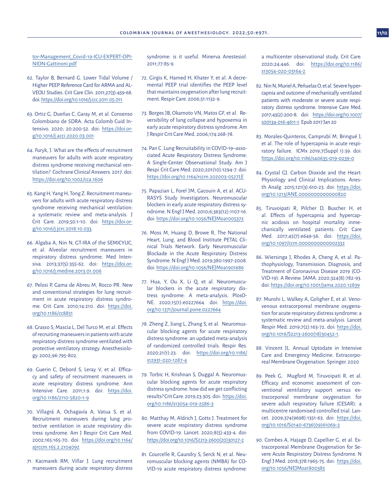<span id="page-10-0"></span>tor-Management Covid-19-ICU-EXPERT-OPI-[NION-Gattinoni.pdf](https://www.pedsanesthesia.org/wp-content/uploads/2020/03/Ventilator-Management_Covid-19-ICU-EXPERT-)

- 62. Taylor B, Bernard G. Lower Tidal Volume / Higher PEEP Reference Card for ARMA and AL-VEOLI Studies. Crit Care Clin. 2011;27(3):459-68. doi:<https://doi.org/10.1016/j.ccc.2011.05.011>
- 63. Ortiz G, Dueñas C, Garay M, et al. Consenso Colombiano de SDRA. Acta Colomb Cuid Intensivo. 2020; 20:200-52. doi: [https://doi.or](https://doi.org/10.1016/j.acci.2020.03.001)[g/10.1016/j.acci.2020.03.001](https://doi.org/10.1016/j.acci.2020.03.001)
- 64. Furyk, J. What are the effects of recruitment maneuvers for adults with acute respiratory distress syndrome receiving mechanical ventilation?. Cochrane Clinical Answers. 2017. doi: <https://doi.org/10.1002/cca.1606>
- 65. Kang H, Yang H, Tong Z. Recruitment maneuvers for adults with acute respiratory distress syndrome receiving mechanical ventilation: a systematic review and meta-analysis. J Crit Care. 2019;50:1-10. doi: [https://doi.or](https://doi.org/10.1016/j.jcrc.2018.10.033)[g/10.1016/j.jcrc.2018.10.033.](https://doi.org/10.1016/j.jcrc.2018.10.033)
- 66. Algaba A, Nin N, GT-IRA of the SEMICYUC, et al. Alveolar recruitment maneuvers in respiratory distress syndrome. Med Intensiva. 2013;37(5):355-62. doi: [https://doi.or](https://doi.org/10.1016/j.medine.2013.01.006)[g/10.1016/j.medine.2013.01.006](https://doi.org/10.1016/j.medine.2013.01.006)
- 67. Pelosi P, Gama de Abreu M, Rocco PR. New and conventional strategies for lung recruitment in acute respiratory distress syndrome. Crit Care. 2010;14:210. doi: [https://doi.](https://doi.org/10.1186/cc8851) [org/10.1186/cc8851](https://doi.org/10.1186/cc8851)
- 68. Grasso S, Mascia L, Del Turco M, et al. Effects of recruiting maneuvers in patients with acute respiratory distress syndrome ventilated with protective ventilatory strategy. Anesthesiology. 2002;96:795-802.
- 69. Guerin C, Debord S, Leray V, et al. Efficacy and safety of recruitment maneuvers in acute respiratory distress syndrome. Ann Intensive Care. 2011;1:9. doi: [https://doi.](https://doi.org/10.1186/2110-5820-1-9) [org/10.1186/2110-5820-1-9](https://doi.org/10.1186/2110-5820-1-9)
- 70. Villagrá A, Ochagavía A, Vatua S, et al. Recruitment maneuvers during lung protective ventilation in acute respiratory distress syndrome. Am J Respir Crit Care Med. 2002;165:165-70. doi: [https://doi.org/10.1164/](https://doi.org/10.1164/ajrccm.165.2.2104092) [ajrccm.165.2.2104092](https://doi.org/10.1164/ajrccm.165.2.2104092)
- 71. Kacmarek RM, Villar J. Lung recruitment maneuvers during acute respiratory distress

syndrome: is it useful. Minerva Anestesiol. 2011;77:85-9.

- 72. Girgis K, Hamed H, Khater Y, et al. A decremental PEEP trial identifies the PEEP level that maintains oxygenation after lung recruitment. Respir Care. 2006;51:1132-9.
- 73. Borges JB, Okamoto VN, Matos GF, et al. Reversibility of lung collapse and hypoxemia in early acute respiratory distress syndrome. Am J Respir Crit Care Med. 2006;174:268-78.
- 74. Pan C. Lung Recruitability in COVID-19–associated Acute Respiratory Distress Syndrome: A Single-Center Observational Study. Am J Respi Crit Care Med. 2020;201(10):1294-7. doi: <https://doi.org/10.1164/rccm.202003-0527LE>
- 75. Papazian L, Forel JM, Gacouin A, et al. ACU-RASYS Study Investigators. Neuromuscular blockers in early acute respiratory distress syndrome. N Engl J Med. 2010;6;363(12):1107-16. doi:<https://doi.org/10.1056/NEJMoa1005372>
- 76. Moss M, Huang D, Browe R, The National Heart, Lung, and Blood Institute PETAL Clinical Trials Network. Early Neuromuscular Blockade in the Acute Respiratory Distress Syndrome. N Engl J Med. 2019;380:1997-2008. doi:<https://doi.org/10.1056/NEJMoa1901686>
- 77. Hua, Y, Ou X, Li Q, et al. Neuromuscular blockers in the acute respiratory distress syndrome: A meta-analysis. PlosO-NE. 2020;15(1):e0227664. doi: [https://doi.](https://doi.org/10.1371/journal.pone.0227664) [org/10.1371/journal.pone.0227664](https://doi.org/10.1371/journal.pone.0227664)
- 78. Zheng Z, Jiang L, Zhang S, et al. Neuromuscular blocking agents for acute respiratory distress syndrome: an updated meta-analysis of randomized controlled trials. Respir Res. 2020;21(1):23. doi: [https://doi.org/10.1186/](https://doi.org/10.1186/s12931-020-1287-4) [s12931-020-1287-4](https://doi.org/10.1186/s12931-020-1287-4)
- 79. Torbic H, Krishnan S, Duggal A. Neuromuscular blocking agents for acute respiratory distress syndrome: how did we get conflicting results? Crit Care. 2019;23:305. doi: [https://doi.](https://doi.org/10.1186/s13054-019-2586-3) [org/10.1186/s13054-019-2586-3](https://doi.org/10.1186/s13054-019-2586-3)
- 80. Matthay M, Aldrich J, Gotts J. Treatment for severe acute respiratory distress syndrome from COVID-19. Lancet. 2020;8(5):433-4. doi: [https://doi.org/10.1016/S2213-2600\(20\)30127-2](https://doi.org/10.1016/S2213-2600(20)30127-2)
- 81. Courcelle R, Gaundry S, Serck N, et al. Neuromuscular blocking agents (NMBA) for CO-VID-19 acute respiratory distress syndrome:

a multicenter observational study. Crit Care. 2020;24:446. doi: [https://doi.org/10.1186/](https://doi.org/10.1186/s13054-020-03164-2) [s13054-020-03164-2](https://doi.org/10.1186/s13054-020-03164-2)

- 82. Nin N, Muriel A, Peñuelas O, et al. Severe hypercapnia and outcome of mechanically ventilated patients with moderate or severe acute respiratory distress syndrome. Intensive Care Med. 2017;43(2):200-8. doi: [https://doi.org/10.1007/](https://doi.org/10.1007/s00134-016-4611-1) [s00134-016-4611-1.](https://doi.org/10.1007/s00134-016-4611-1) Epub 2017 Jan 20
- 83. Morales-Quinteros, Camprubí M, Bringué J, et al. The role of hypercapnia in acute respiratory failure. ICMx 2019;7(Suppl 1):39. doi: <https://doi.org/10.1186/s40635-019-0239-0>
- 84. Crystal GJ. Carbon Dioxide and the Heart: Physiology and Clinical Implications. Anesth Analg. 2015;121(3):610-23. doi: [https://doi.](https://doi.org/10.1213/ANE.0000000000000820) [org/10.1213/ANE.0000000000000820](https://doi.org/10.1213/ANE.0000000000000820)
- 85. Tiruvoipati R, Pilcher D, Buscher H, et al. Effects of hypercapnia and hypercapnic acidosis on hospital mortality inmechanically ventilated patients. Crit Care Med. 2017;45(7):e649-56. doi: [https://doi.](https://doi.org/10.1097/ccm.0000000000002332) [org/10.1097/ccm.0000000000002332](https://doi.org/10.1097/ccm.0000000000002332)
- 86. Wiersinga J, Rhodes A, Cheng A, et al. Pathophysiology, Transmission, Diagnosis, and Treatment of Coronavirus Disease 2019 (CO-VID-19): A Review. JAMA. 2020;324(8):782-93. doi: <https://doi.org/10.1001/jama.2020.12839>
- 87. Munshi L, Walkey A, Goligher E, et al. Venovenous extracorporeal membrane oxygenation for acute respiratory distress syndrome: a systematic review and meta-analysis. Lancet Respir Med. 2019;7(2):163-72. doi: [https://doi.](https://doi.org/10.1016/S2213-2600(18)30452-1) [org/10.1016/S2213-2600\(18\)30452-1.](https://doi.org/10.1016/S2213-2600(18)30452-1)
- 88. Vincent JL. Annual Uptodate in Intensive Care and Emergency Medicine. Extracorporeal Membrane Oxygenation. Springer. 2020
- 89. Peek G, Mugford M, Tiruvoipati R, et al. Efficacy and economic assessment of conventional ventilatory support versus extracorporeal membrane oxygenation for severe adult respiratory failure (CESAR): a multicentre randomised controlled trial. Lancet. 2009;374(9698):1351-63. doi: [https://doi.](https://doi.org/10.1016/S0140-6736(09)61069-2) [org/10.1016/S0140-6736\(09\)61069-2](https://doi.org/10.1016/S0140-6736(09)61069-2)
- 90. Combes A, Hajage D, Capellier G, et al. Extracorporeal Membrane Oxygenation for Severe Acute Respiratory Distress Syndrome. N Engl J Med. 2018;378:1965-75. doi: [https://doi.](https://doi.org/10.1056/NEJMoa1800385) [org/10.1056/NEJMoa1800385](https://doi.org/10.1056/NEJMoa1800385)